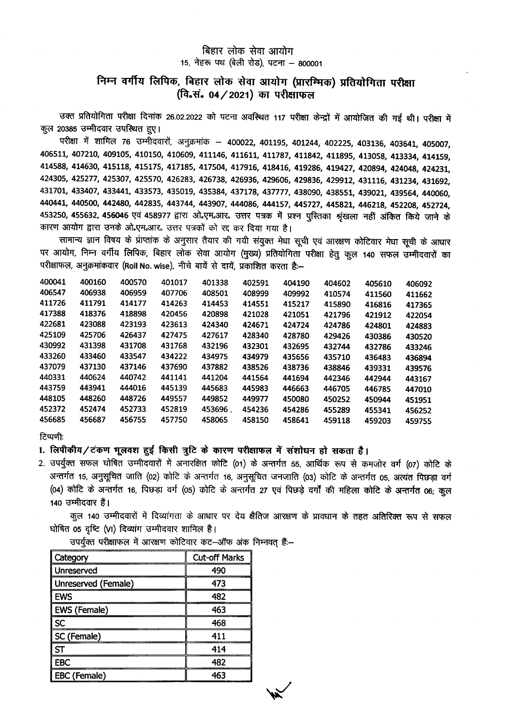## बिहार लोक सेवा आयोग 15, नेहरू पथ (बेली रोड), पटना - 800001

## निम्न वर्गीय लिपिक, बिहार लोक सेवा आयोग (प्रारम्भिक) प्रतियोगिता परीक्षा (वि.सं. 04 / 2021) का परीक्षाफल

उक्त प्रतियोगिता परीक्षा दिनांक 26.02.2022 को पटना अवस्थित 117 परीक्षा केन्द्रों में आयोजित की गई थी। परीक्षा में कल 20385 उम्मीदवार उपस्थित हुए।

परीक्षा में शामिल 76 उम्मीदवारों, अनुक्रमांक – 400022, 401195, 401244, 402225, 403136, 403641, 405007, 406511, 407210, 409105, 410150, 410609, 411146, 411611, 411787, 411842, 411895, 413058, 413334, 414159, 414588, 414630, 415118, 415175, 417185, 417504, 417916, 418416, 419286, 419427, 420894, 424048, 424231, 424305, 425277, 425307, 425570, 426283, 426738, 426936, 429606, 429836, 429912, 431116, 431234, 431692, 431701, 433407, 433441, 433573, 435019, 435384, 437178, 437777, 438090, 438551, 439021, 439564, 440060, 440441, 440500, 442480, 442835, 443744, 443907, 444086, 444157, 445727, 445821, 446218, 452208, 452724, 453250, 455632, 456046 एवं 458977 द्वारा ओ.एम.आर. उत्तर पत्रक में प्रश्न पुस्तिका श्रृंखला नहीं अंकित किये जाने के कारण आयोग द्वारा उनके ओ.एम.आर. उत्तर पत्रकों को रद्द कर दिया गया है।

सामान्य ज्ञान विषय के प्राप्तांक के अनुसार तैयार की गयी संयुक्त मेधा सूची एवं आरक्षण कोटिवार मेधा सूची के आधार पर आयोग, निम्न वर्गीय लिपिक, बिहार लोक सेवा आयोग (मुख्य) प्रतियोगिता परीक्षा हेतु कुल 140 सफल उम्मीदवारों का परीक्षाफल, अनुक्रमांकवार (Roll No. wise), नीचे बायें से दायें, प्रकाशित करता है:-

| 400041 | 400160 | 400570 | 401017 | 401338  | 402591 | 404190 | 404602 | 405610 | 406092 |
|--------|--------|--------|--------|---------|--------|--------|--------|--------|--------|
| 406547 | 406938 | 406959 | 407706 | 408501  | 408999 | 409992 | 410574 | 411560 | 411662 |
| 411726 | 411791 | 414177 | 414263 | 414453  | 414551 | 415217 | 415890 | 416816 | 417365 |
| 417388 | 418376 | 418898 | 420456 | 420898  | 421028 | 421051 | 421796 | 421912 | 422054 |
| 422681 | 423088 | 423193 | 423613 | 424340  | 424671 | 424724 | 424786 | 424801 | 424883 |
| 425109 | 425706 | 426437 | 427475 | 427617  | 428340 | 428780 | 429426 | 430386 | 430520 |
| 430992 | 431398 | 431708 | 431768 | 432196  | 432301 | 432695 | 432744 | 432786 | 433246 |
| 433260 | 433460 | 433547 | 434222 | 434975  | 434979 | 435656 | 435710 | 436483 | 436894 |
| 437079 | 437130 | 437146 | 437690 | 437882  | 438526 | 438736 | 438846 | 439331 | 439576 |
| 440331 | 440624 | 440742 | 441141 | 441204  | 441564 | 441694 | 442346 | 442944 | 443167 |
| 443759 | 443941 | 444016 | 445139 | 445683  | 445983 | 446663 | 446705 | 446785 | 447010 |
| 448105 | 448260 | 448726 | 449557 | 449852  | 449977 | 450080 | 450252 | 450944 | 451951 |
| 452372 | 452474 | 452733 | 452819 | 453696. | 454236 | 454286 | 455289 | 455341 | 456252 |
| 456685 | 456687 | 456755 | 457750 | 458065  | 458150 | 458641 | 459118 | 459203 | 459755 |
|        |        |        |        |         |        |        |        |        |        |

टिप्पणीः

## 1. लिपीकीय/टंकण भूलवश हुई किसी त्रूटि के कारण परीक्षाफल में संशोधन हो सकता है।

2. उपर्युक्त सफल घोषित उम्मीदवारों में अनारक्षित कोटि (01) के अन्तर्गत 55, आर्थिक रूप से कमजोर वर्ग (07) कोटि के अन्तर्गत 15, अनुसूचित जाति (02) कोटि के अन्तर्गत 16, अनुसूचित जनजाति (03) कोटि के अन्तर्गत 05, अत्यंत पिछड़ा वर्ग (04) कोटि के अन्तर्गत 16, पिछड़ा वर्ग (05) कोटि के अन्तर्गत 27 एवं पिछड़े वर्गों की महिला कोटि के अन्तर्गत 06; कुल 140 उम्मीदवार हैं।

कूल 140 उम्मीदवारों में दिव्यांगता के आधार पर देय क्षैतिज आरक्षण के प्रावधान के तहत अतिरिक्त रूप से सफल घोषित 05 दृष्टि (VI) दिव्यांग उम्मीदवार शामिल है।

उपर्युक्त परीक्षाफल में आरक्षण कोटिवार कट-ऑफ अंक निम्नवत् हैं:--

| Category            | <b>Cut-off Marks</b> |  |  |
|---------------------|----------------------|--|--|
| Unreserved          | 490                  |  |  |
| Unreserved (Female) | 473                  |  |  |
| l Ews               | 482                  |  |  |
| <b>EWS (Female)</b> | 463                  |  |  |
| l sc                | 468                  |  |  |
| SC (Female)         | 411                  |  |  |
| S                   | 414                  |  |  |
| <b>EBC</b>          | 482                  |  |  |
| <b>EBC</b> (Female) | 463                  |  |  |